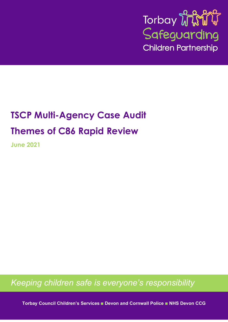

# **TSCP Multi-Agency Case Audit Themes of C86 Rapid Review**

**June 2021**

*Keeping children safe is everyone's responsibility*

**Torbay Council Children's Services Devon and Cornwall Police NHS Devon CCG**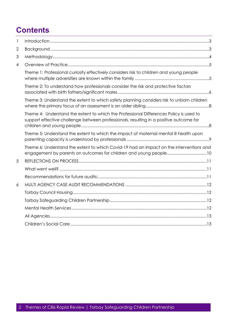# **Contents**

| $\mathbf{I}$ |                                                                                                                                                                                  |
|--------------|----------------------------------------------------------------------------------------------------------------------------------------------------------------------------------|
| 2            |                                                                                                                                                                                  |
| 3            |                                                                                                                                                                                  |
| 4            |                                                                                                                                                                                  |
|              | Theme 1: Professional curiosity effectively considers risk to children and young people                                                                                          |
|              | Theme 2: To understand how professionals consider the risk and protective factors                                                                                                |
|              | Theme 3: Understand the extent to which safety planning considers risk to unborn children                                                                                        |
|              | Theme 4: Understand the extent to which the Professional Differences Policy is used to<br>support effective challenge between professionals, resulting in a positive outcome for |
|              | Theme 5: Understand the extent to which the impact of maternal mental ill health upon                                                                                            |
|              | Theme 6: Understand the extent to which Covid-19 had an impact on the interventions and<br>engagement by parents on outcomes for children and young people10                     |
| 5            |                                                                                                                                                                                  |
|              |                                                                                                                                                                                  |
|              |                                                                                                                                                                                  |
| 6            |                                                                                                                                                                                  |
|              |                                                                                                                                                                                  |
|              |                                                                                                                                                                                  |
|              |                                                                                                                                                                                  |
|              |                                                                                                                                                                                  |
|              |                                                                                                                                                                                  |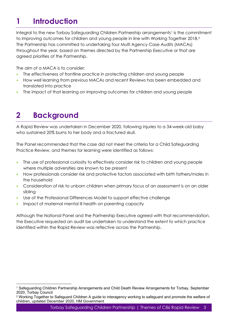# <span id="page-2-0"></span>**1 Introduction**

Integral to the new Torbay Safeguarding Children Partnership arrangements<sup>[1](#page-2-2)</sup> is the commitment to improving outcomes for children and young people in line with Working Together 2018.[2](#page-2-3) The Partnership has committed to undertaking four Multi Agency Case Audits (MACAs) throughout the year, based on themes directed by the Partnership Executive or that are agreed priorities of the Partnership.

The aim of a MACA is to consider:

- The effectiveness of frontline practice in protecting children and young people
- How well learning from previous MACAs and recent Reviews has been embedded and translated into practice
- The impact of that learning on improving outcomes for children and young people

# <span id="page-2-1"></span>**2 Background**

A Rapid Review was undertaken in December 2020, following injuries to a 34-week-old baby who sustained 20% burns to her body and a fractured skull.

The Panel recommended that the case did not meet the criteria for a Child Safeguarding Practice Review, and themes for learning were identified as follows:

- The use of professional curiosity to effectively consider risk to children and young people where multiple adversities are known to be present
- How professionals consider risk and protective factors associated with birth fathers/males in the household
- Consideration of risk to unborn children when primary focus of an assessment is on an older sibling
- Use of the Professional Differences Model to support effective challenge
- Impact of maternal mental ill health on parenting capacity

Although the National Panel and the Partnership Executive agreed with that recommendation, the Executive requested an audit be undertaken to understand the extent to which practice identified within the Rapid Review was reflective across the Partnership.

<span id="page-2-2"></span><sup>1</sup> Safeguarding Children Partnership Arrangements and Child Death Review Arrangements for Torbay, September 2020, Torbay Council

<span id="page-2-3"></span><sup>&</sup>lt;sup>2</sup> Working Together to Safeguard Children A guide to interagency working to safeguard and promote the welfare of children, updated December 2020, HM Government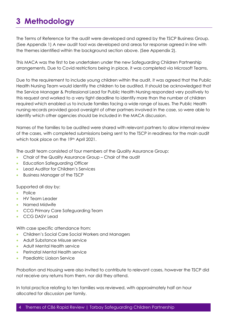# <span id="page-3-0"></span>**3 Methodology**

The Terms of Reference for the audit were developed and agreed by the TSCP Business Group. (See Appendix 1) A new audit tool was developed and areas for response agreed in line with the themes identified within the background section above. (See Appendix 2).

This MACA was the first to be undertaken under the new Safeguarding Children Partnership arrangements. Due to Covid restrictions being in place, it was completed via Microsoft Teams.

Due to the requirement to include young children within the audit, it was agreed that the Public Health Nursing Team would identify the children to be audited. It should be acknowledged that the Service Manager & Professional Lead for Public Health Nursing responded very positively to this request and worked to a very tight deadline to identify more than the number of children required which enabled us to include families facing a wide range of issues. The Public Health nursing records provided good oversight of other partners involved in the case, so were able to identify which other agencies should be included in the MACA discussion.

Names of the families to be audited were shared with relevant partners to allow internal review of the cases, with completed submissions being sent to the TSCP in readiness for the main audit which took place on the 19th April 2021.

The audit team consisted of four members of the Quality Assurance Group:

- Chair of the Quality Assurance Group Chair of the audit
- Education Safeauardina Officer
- Lead Auditor for Children's Services
- Business Manager of the TSCP

Supported all day by:

- Police
- HV Team Leader
- Named Midwife
- CCG Primary Care Safeguarding Team
- CCG DASV Lead

With case specific attendance from:

- Children's Social Care Social Workers and Managers
- Adult Substance Misuse service
- Adult Mental Health service
- Perinatal Mental Health service
- Paediatric Liaison Service

Probation and Housing were also invited to contribute to relevant cases, however the TSCP did not receive any returns from them, nor did they attend.

In total practice relating to ten families was reviewed, with approximately half an hour allocated for discussion per family.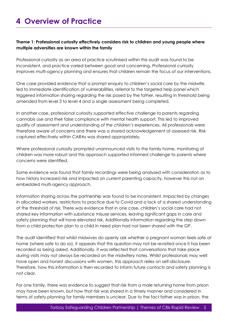# <span id="page-4-0"></span>**4 Overview of Practice**

### <span id="page-4-1"></span>**Theme 1: Professional curiosity effectively considers risk to children and young people where multiple adversities are known within the family**

Professional curiosity as an area of practice scrutinised within this audit was found to be inconsistent, and practice varied between good and concerning. Professional curiosity improves multi-agency planning and ensures that children remain the focus of our interventions.

One case provided evidence that a prompt enquiry to children's social care by the midwife, led to immediate identification of vulnerabilities, referral to the targeted help panel which triggered information sharing regarding the risk posed by the father, resulting in threshold being amended from level 3 to level 4 and a single assessment being completed.

In another case, professional curiosity supported effective challenge to parents regarding cannabis use and their false compliance with mental health support. This led to improved quality of assessment and understanding of the children's experiences. All professionals were therefore aware of concerns and there was a shared acknowledgement of assessed risk. Risk captured effectively within CARAs was shared appropriately.

Where professional curiosity prompted unannounced visits to the family home, monitoring of children was more robust and this approach supported informed challenge to parents where concerns were identified.

Some evidence was found that family recordings were being analysed with consideration as to how history increased risk and impacted on current parenting capacity, however this not an embedded multi-agency approach.

Information sharing across the partnership was found to be inconsistent, impacted by changes in allocated workers, restrictions to practice due to Covid and a lack of a shared understanding of the threshold of risk. There was evidence that in one case, children's social care had not shared key information with substance misuse services, leaving significant gaps in care and safety planning that will have elevated risk. Additionally information regarding the step down from a child protection plan to a child in need plan had not been shared with the GP.

The audit identified that whilst midwives do openly ask whether a pregnant woman feels safe at home (where safe to do so), it appears that this question may not be revisited once it has been recorded as being asked. Additionally, it was reflected that conversations that take place during visits may not always be recorded on the midwifery notes. Whilst professionals may well have open and honest discussions with women, this approach relies on self-disclosure. Therefore, how this information is then recorded to inform future contacts and safety planning is not clear.

For one family, there was evidence to suggest that risk from a male returning home from prison may have been known, but how that risk was shared in a timely manner and considered in terms of safety planning for family members is unclear. Due to the fact father was in prison, the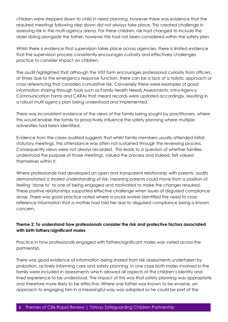children were stepped down to child in need planning, however there was evidence that the required meetings following step down did not always take place. This created challenge in assessing risk in the multi-agency arena. For these children, risk had changed to include the older sibling alongside the father, however this had not been considered within the safety plan.

Whilst there is evidence that supervision takes place across agencies, there is limited evidence that the supervision process consistently encourages curiosity and effectively challenges practice to consider impact on children.

The audit highlighted that although the ViST form encourages professional curiosity from officers, at times due to the emergency response function, there can be a lack of a holistic approach or cross referencing that considers cumulative risk. Conversely there were examples of good information sharing through tools such as Family Health Needs Assessments, Intra-Agency Communication Forms and CARAs that meant records were updated accordingly, resulting in a robust multi agency plan being understood and implemented.

There was inconsistent evidence of the views of the family being sought by practitioners, where this would enable the family to proactively influence the safety planning where multiple adversities had been identified.

Evidence from the cases audited suggests that whilst family members usually attended initial statutory meetings, this attendance was often not sustained through the reviewing process. Consequently views were not always recorded. This leads to a question of whether families understood the purpose of those meetings, valued the process and indeed, felt valued themselves within it.

Where professionals had developed an open and transparent relationship with parents, audits demonstrated a shared understanding of risk, meaning parents could move from a position of feeling 'done to' to one of being engaged and motivated to make the changes required. These positive relationships supported effective challenge when issues of disguised compliance arose. There was good practice noted where a social worker identified the need to cross reference information that a mother had told her due to disguised compliance being a known concern.

### <span id="page-5-0"></span>**Theme 2: To understand how professionals consider the risk and protective factors associated with birth fathers/significant males**

Practice in how professionals engaged with fathers/significant males was varied across the partnership.

There was good evidence of information being shared from risk assessments undertaken by probation, actively informing care and safety planning. In one case both males involved in the family were included in assessments which allowed all aspects of the children's identity and lived experience to be understood. The impact of this was that safety planning was appropriate and therefore more likely to be effective. Where one father was known to be evasive, an approach to engaging him in a meaningful way was adapted so he could be part of the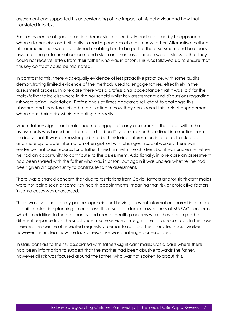assessment and supported his understanding of the impact of his behaviour and how that translated into risk.

Further evidence of good practice demonstrated sensitivity and adaptability to approach when a father disclosed difficulty in reading and anxieties as a new father. Alternative methods of communication were established enabling him to be part of the assessment and be clearly aware of the professional concern and risk. In another case children were distressed that they could not receive letters from their father who was in prison. This was followed up to ensure that this key contact could be facilitated.

In contrast to this, there was equally evidence of less proactive practice, with some audits demonstrating limited evidence of the methods used to engage fathers effectively in the assessment process. In one case there was a professional acceptance that it was 'ok' for the male/father to be elsewhere in the household whilst key assessments and discussions regarding risk were being undertaken. Professionals at times appeared reluctant to challenge this absence and therefore this led to a question of how they considered this lack of engagement when considering risk within parenting capacity.

Where fathers/significant males had not engaged in any assessments, the detail within the assessments was based on information held on IT systems rather than direct information from the individual. It was acknowledged that both historical information in relation to risk factors and more up to date information often got lost with changes in social worker. There was evidence that case records for a father linked him with the children, but it was unclear whether he had an opportunity to contribute to the assessment. Additionally, in one case an assessment had been shared with the father who was in prison, but again it was unclear whether he had been given an opportunity to contribute to the assessment.

There was a shared concern that due to restrictions from Covid, fathers and/or significant males were not being seen at some key health appointments, meaning that risk or protective factors in some cases was unassessed.

There was evidence of key partner agencies not having relevant information shared in relation to child protection planning. In one case this resulted in lack of awareness of MARAC concerns, which in addition to the pregnancy and mental health problems would have prompted a different response from the substance misuse services through face to face contact. In this case there was evidence of repeated requests via email to contact the allocated social worker, however it is unclear how the lack of response was challenged or escalated.

In stark contrast to the risk associated with fathers/significant males was a case where there had been information to suggest that the mother had been abusive towards the father, however all risk was focused around the father, who was not spoken to about this.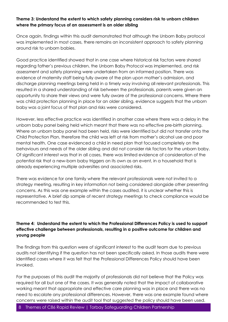### <span id="page-7-0"></span>**Theme 3: Understand the extent to which safety planning considers risk to unborn children where the primary focus of an assessment is an older sibling**

Once again, findings within this audit demonstrated that although the Unborn Baby protocol was implemented in most cases, there remains an inconsistent approach to safety planning around risk to unborn babies.

Good practice identified showed that in one case where historical risk factors were shared regarding father's previous children, the Unborn Baby Protocol was implemented, and risk assessment and safety planning were undertaken from an informed position. There was evidence of maternity staff being fully aware of the plan upon mother's admission, and discharge planning meetings being held in a timely way involving all relevant professionals. This resulted in a shared understanding of risk between the professionals, parents were given an opportunity to share their views and were fully aware of the professional concerns. Where there was child protection planning in place for an older sibling, evidence suggests that the unborn baby was a joint focus of that plan and risks were considered.

However, less effective practice was identified in another case where there was a delay in the unborn baby panel being held which meant that there was no effective pre-birth planning. Where an unborn baby panel had been held, risks were identified but did not transfer onto the Child Protection Plan, therefore the child was left at risk from mother's alcohol use and poor mental health. One case evidenced a child in need plan that focused completely on the behaviours and needs of the older sibling and did not consider risk factors for the unborn baby. Of significant interest was that in all cases, there was limited evidence of consideration of the potential risk that a new-born baby triggers on its own as an event, in a household that is already experiencing multiple adversities and associated risks.

There was evidence for one family where the relevant professionals were not invited to a strategy meeting, resulting in key information not being considered alongside other presenting concerns. As this was one example within the cases audited, it is unclear whether this is representative. A brief dip sample of recent strategy meetings to check compliance would be recommended to test this.

### <span id="page-7-1"></span>**Theme 4: Understand the extent to which the Professional Differences Policy is used to support effective challenge between professionals, resulting in a positive outcome for children and young people**

The findings from this question were of significant interest to the audit team due to previous audits not identifying if the question has not been specifically asked. In those audits there were identified cases where it was felt that the Professional Differences Policy should have been invoked.

For the purposes of this audit the majority of professionals did not believe that the Policy was required for all but one of the cases. It was generally noted that the impact of collaborative working meant that appropriate and effective care planning was in place and there was no need to escalate any professional differences. However, there was one example found where concerns were raised within the audit tool that suggested the policy should have been used.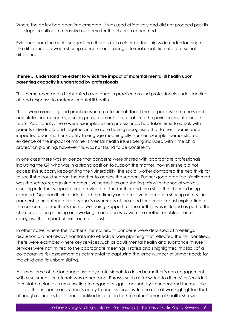Where the policy had been implemented, it was used effectively and did not proceed past its first stage, resulting in a positive outcome for the children concerned.

Evidence from the audits suggest that there is not a clear partnership wide understanding of the difference between sharing concerns and raising a formal escalation of professional difference.

## <span id="page-8-0"></span>**Theme 5: Understand the extent to which the impact of maternal mental ill health upon parenting capacity is understood by professionals**

This theme once again highlighted a variance in practice around professionals understanding of, and response to maternal mental ill health.

There were areas of good practice where professionals took time to speak with mothers and articulate their concerns, resulting in agreement to referrals into the perinatal mental health team. Additionally, there were examples where professionals had taken time to speak with parents individually and together, in one case having recognised that father's dominance impacted upon mother's ability to engage meaningfully. Further examples demonstrated evidence of the impact of mother's mental health issues being included within the child protection planning, however this was not found to be consistent.

In one case there was evidence that concerns were shared with appropriate professionals including the GP who was in a strong position to support the mother, however she did not access this support. Recognising the vulnerability, the social worker contacted the health visitor to see if she could support the mother to access the support. Further good practice highlighted was the school recognising mother's vulnerabilities and sharing this with the social worker, resulting in further support being provided for the mother and the risk to the children being reduced. One health visitor identified that timely and effective information sharing across the partnership heightened professional's awareness of the need for a more robust exploration of the concerns for mother's mental wellbeing. Support for the mother was included as part of the child protection planning and working in an open way with the mother enabled her to recognise the impact of her traumatic past.

In other cases, where the mother's mental health concerns were discussed at meetings, discussion did not always translate into effective care planning that reflected the risk identified. There were examples where key services such as adult mental health and substance misuse services were not invited to the appropriate meetings. Professionals highlighted this lack of a collaborative risk assessment as detrimental to capturing the large number of unmet needs for the child and its unborn sibling.

At times some of the language used by professionals to describe mother's non engagement with assessments or referrals was concerning. Phrases such as 'unwilling to discuss' or 'couldn't formulate a plan as mum unwilling to engage' suggest an inability to understand the multiple factors that influence individual's ability to access services. In one case it was highlighted that although concerns had been identified in relation to the mother's mental health, she was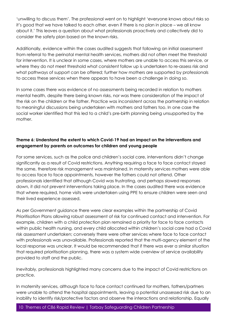'unwilling to discuss them'. The professional went on to highlight 'everyone knows about risks so it's good that we have talked to each other, even if there is no plan in place – we all know about it.' This leaves a question about what professionals proactively and collectively did to consider the safety plan based on the known risks.

Additionally, evidence within the cases audited suggests that following an initial assessment from referral to the perinatal mental health services, mothers did not often meet the threshold for intervention. It is unclear in some cases, where mothers are unable to access this service, or where they do not meet threshold what consistent follow up is undertaken to re-assess risk and what pathways of support can be offered; further how mothers are supported by professionals to access these services when there appears to have been a challenge in doing so.

In some cases there was evidence of no assessments being recorded in relation to mothers mental health, despite there being known risks, nor was there consideration of the impact of the risk on the children or the father. Practice was inconsistent across the partnership in relation to meaningful discussions being undertaken with mothers and fathers too. In one case the social worker identified that this led to a child's pre-birth planning being unsupported by the mother.

## <span id="page-9-0"></span>**Theme 6: Understand the extent to which Covid-19 had an impact on the interventions and engagement by parents on outcomes for children and young people**

For some services, such as the police and children's social care, interventions didn't change significantly as a result of Covid restrictions. Anything requiring a face to face contact stayed the same, therefore risk management was maintained. In maternity services mothers were able to access face to face appointments, however the fathers could not attend. Other professionals identified that although Covid was frustrating, and perhaps slowed responses down, it did not prevent interventions taking place. In the cases audited there was evidence that where required, home visits were undertaken using PPE to ensure children were seen and their lived experience assessed.

As per Government guidance there were clear examples within the partnership of Covid Prioritisation Plans allowing robust assessment of risk for continued contact and intervention. For example, children with a child protection plan remained a priority for face to face contacts within public health nursing, and every child allocated within children's social care had a Covid risk assessment undertaken; conversely there were other services where face to face contact with professionals was unavailable. Professionals reported that the multi-agency element of the local response was unclear. It would be recommended that if there was ever a similar situation that required prioritisation planning, there was a system wide overview of service availability provided to staff and the public.

Inevitably, professionals highlighted many concerns due to the impact of Covid restrictions on practice.

In maternity services, although face to face contact continued for mothers, fathers/partners were unable to attend the hospital appointments, leaving a potential unassessed risk due to an inability to identify risk/protective factors and observe the interactions and relationship. Equally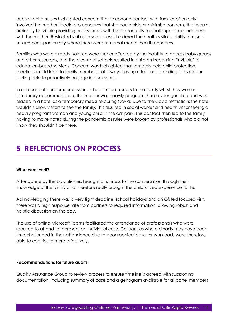public health nurses highlighted concern that telephone contact with families often only involved the mother, leading to concerns that she could hide or minimise concerns that would ordinarily be visible providing professionals with the opportunity to challenge or explore these with the mother. Restricted visiting in some cases hindered the health visitor's ability to assess attachment, particularly where there were maternal mental health concerns.

Families who were already isolated were further affected by the inability to access baby groups and other resources, and the closure of schools resulted in children becoming 'invisible' to education-based services. Concern was highlighted that remotely held child protection meetings could lead to family members not always having a full understanding of events or feeling able to proactively engage in discussions.

In one case of concern, professionals had limited access to the family whilst they were in temporary accommodation. The mother was heavily pregnant, had a younger child and was placed in a hotel as a temporary measure during Covid. Due to the Covid restrictions the hotel wouldn't allow visitors to see the family. This resulted in social worker and health visitor seeing a heavily pregnant woman and young child in the car park. This contact then led to the family having to move hotels during the pandemic as rules were broken by professionals who did not know they shouldn't be there.

# <span id="page-10-0"></span>**5 REFLECTIONS ON PROCESS**

### <span id="page-10-1"></span>**What went well?**

Attendance by the practitioners brought a richness to the conversation through their knowledge of the family and therefore really brought the child's lived experience to life.

Acknowledging there was a very tight deadline, school holidays and an Ofsted focused visit, there was a high response rate from partners to required information, allowing robust and holistic discussion on the day.

The use of online Microsoft Teams facilitated the attendance of professionals who were required to attend to represent an individual case. Colleagues who ordinarily may have been time challenged in their attendance due to geographical bases or workloads were therefore able to contribute more effectively.

### <span id="page-10-2"></span>**Recommendations for future audits:**

Quality Assurance Group to review process to ensure timeline is agreed with supporting documentation, including summary of case and a genogram available for all panel members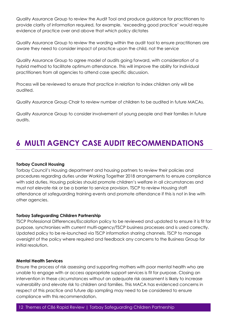Quality Assurance Group to review the Audit Tool and produce guidance for practitioners to provide clarity of information required, for example, 'exceeding good practice' would require evidence of practice over and above that which policy dictates

Quality Assurance Group to review the wording within the audit tool to ensure practitioners are aware they need to consider impact of practice upon the child, not the service

Quality Assurance Group to agree model of audits going forward, with consideration of a hybrid method to facilitate optimum attendance. This will improve the ability for individual practitioners from all agencies to attend case specific discussion.

Process will be reviewed to ensure that practice in relation to index children only will be audited.

Quality Assurance Group Chair to review number of children to be audited in future MACAs.

Quality Assurance Group to consider involvement of young people and their families in future audits.

# <span id="page-11-0"></span>**6 MULTI AGENCY CASE AUDIT RECOMMENDATIONS**

### <span id="page-11-1"></span>**Torbay Council Housing**

Torbay Council's Housing department and housing partners to review their policies and procedures regarding duties under Working Together 2018 arrangements to ensure compliance with said duties. Housing policies should promote children's welfare in all circumstances and must not elevate risk or be a barrier to service provision. TSCP to review Housing staff attendance at safeguarding training events and promote attendance if this is not in line with other agencies.

### <span id="page-11-2"></span>**Torbay Safeguarding Children Partnership**

TSCP Professional Differences/Escalation policy to be reviewed and updated to ensure it is fit for purpose, synchronises with current multi-agency/TSCP business processes and is used correctly. Updated policy to be re-launched via TSCP information sharing channels. TSCP to manage oversight of the policy where required and feedback any concerns to the Business Group for initial resolution.

### <span id="page-11-3"></span>**Mental Health Services**

Ensure the process of risk assessing and supporting mothers with poor mental health who are unable to engage with or access appropriate support services is fit for purpose. Closing an intervention in these circumstances without an adequate risk assessment is likely to increase vulnerability and elevate risk to children and families. This MACA has evidenced concerns in respect of this practice and future dip sampling may need to be considered to ensure compliance with this recommendation.